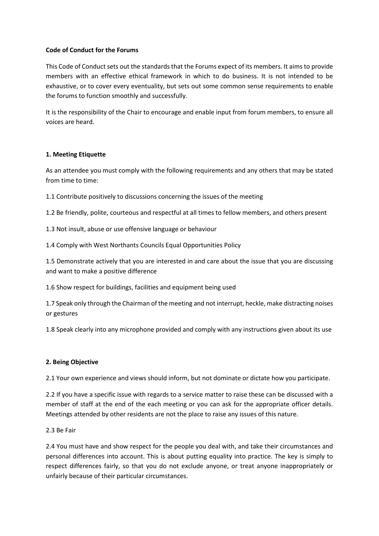## **Code of Conduct for the Forums**

This Code of Conduct sets out the standards that the Forums expect of its members. It aims to provide members with an effective ethical framework in which to do business. It is not intended to be exhaustive, or to cover every eventuality, but sets out some common sense requirements to enable the forums to function smoothly and successfully.

It is the responsibility of the Chair to encourage and enable input from forum members, to ensure all voices are heard.

## **1. Meeting Etiquette**

As an attendee you must comply with the following requirements and any others that may be stated from time to time:

1.1 Contribute positively to discussions concerning the issues of the meeting

1.2 Be friendly, polite, courteous and respectful at all times to fellow members, and others present

1.3 Not insult, abuse or use offensive language or behaviour

1.4 Comply with West Northants Councils Equal Opportunities Policy

1.5 Demonstrate actively that you are interested in and care about the issue that you are discussing and want to make a positive difference

1.6 Show respect for buildings, facilities and equipment being used

1.7 Speak only through the Chairman of the meeting and not interrupt, heckle, make distracting noises or gestures

1.8 Speak clearly into any microphone provided and comply with any instructions given about its use

## **2. Being Objective**

2.1 Your own experience and views should inform, but not dominate or dictate how you participate.

2.2 If you have a specific issue with regards to a service matter to raise these can be discussed with a member of staff at the end of the each meeting or you can ask for the appropriate officer details. Meetings attended by other residents are not the place to raise any issues of this nature.

2.3 Be Fair

2.4 You must have and show respect for the people you deal with, and take their circumstances and personal differences into account. This is about putting equality into practice. The key is simply to respect differences fairly, so that you do not exclude anyone, or treat anyone inappropriately or unfairly because of their particular circumstances.